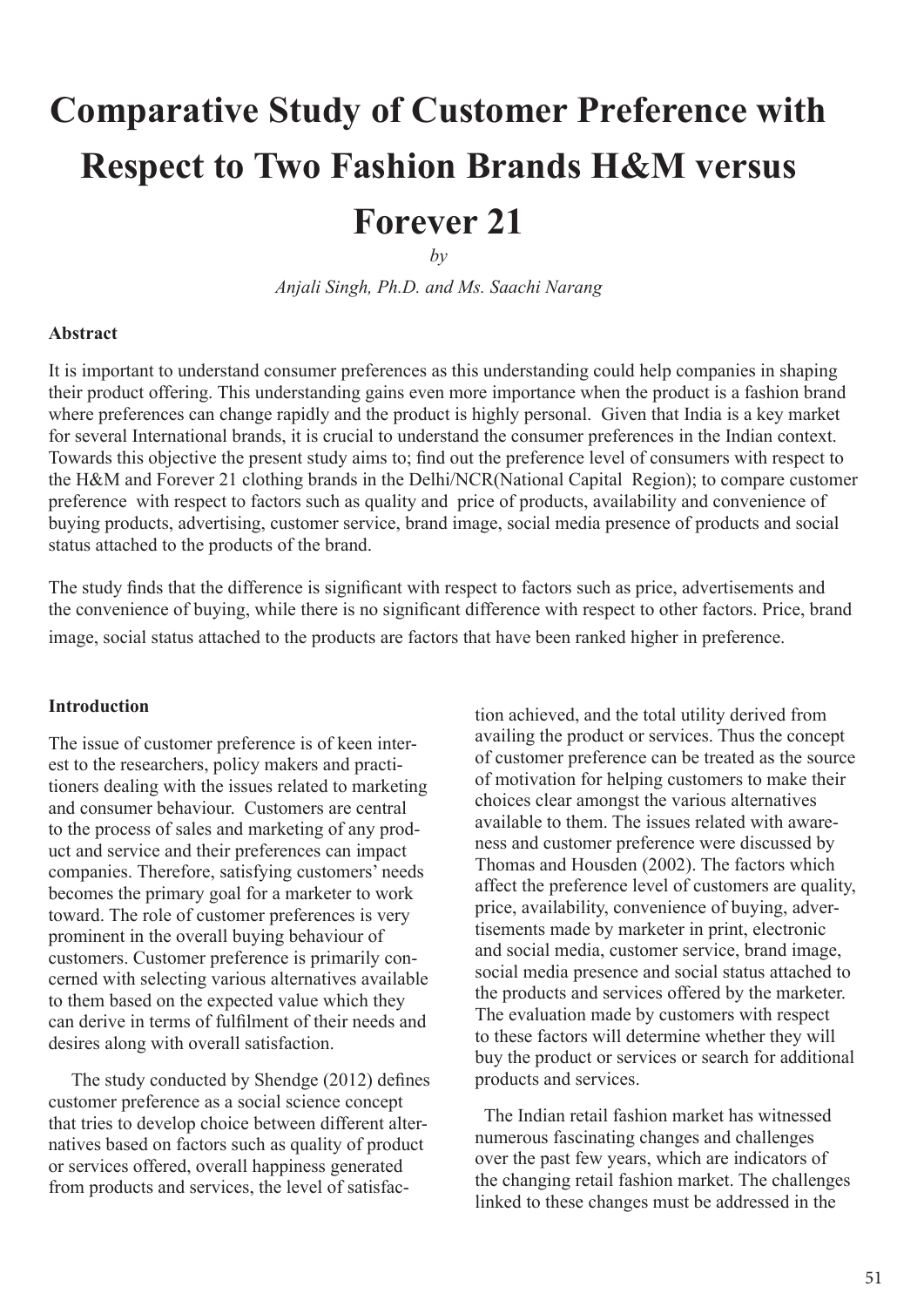# **Comparative Study of Customer Preference with Respect to Two Fashion Brands H&M versus Forever 21**

*Anjali Singh, Ph.D. and Ms. Saachi Narang*

## **Abstract**

It is important to understand consumer preferences as this understanding could help companies in shaping their product offering. This understanding gains even more importance when the product is a fashion brand where preferences can change rapidly and the product is highly personal. Given that India is a key market for several International brands, it is crucial to understand the consumer preferences in the Indian context. Towards this objective the present study aims to; find out the preference level of consumers with respect to the H&M and Forever 21 clothing brands in the Delhi/NCR(National Capital Region); to compare customer preference with respect to factors such as quality and price of products, availability and convenience of buying products, advertising, customer service, brand image, social media presence of products and social status attached to the products of the brand.

The study finds that the difference is significant with respect to factors such as price, advertisements and the convenience of buying, while there is no significant difference with respect to other factors. Price, brand image, social status attached to the products are factors that have been ranked higher in preference.

#### **Introduction**

The issue of customer preference is of keen interest to the researchers, policy makers and practitioners dealing with the issues related to marketing and consumer behaviour. Customers are central to the process of sales and marketing of any product and service and their preferences can impact companies. Therefore, satisfying customers' needs becomes the primary goal for a marketer to work toward. The role of customer preferences is very prominent in the overall buying behaviour of customers. Customer preference is primarily concerned with selecting various alternatives available to them based on the expected value which they can derive in terms of fulfilment of their needs and desires along with overall satisfaction.

 The study conducted by Shendge (2012) defines customer preference as a social science concept that tries to develop choice between different alternatives based on factors such as quality of product or services offered, overall happiness generated from products and services, the level of satisfaction achieved, and the total utility derived from availing the product or services. Thus the concept of customer preference can be treated as the source of motivation for helping customers to make their choices clear amongst the various alternatives available to them. The issues related with awareness and customer preference were discussed by Thomas and Housden (2002). The factors which affect the preference level of customers are quality, price, availability, convenience of buying, advertisements made by marketer in print, electronic and social media, customer service, brand image, social media presence and social status attached to the products and services offered by the marketer. The evaluation made by customers with respect to these factors will determine whether they will buy the product or services or search for additional products and services.

 The Indian retail fashion market has witnessed numerous fascinating changes and challenges over the past few years, which are indicators of the changing retail fashion market. The challenges linked to these changes must be addressed in the

 $b\nu$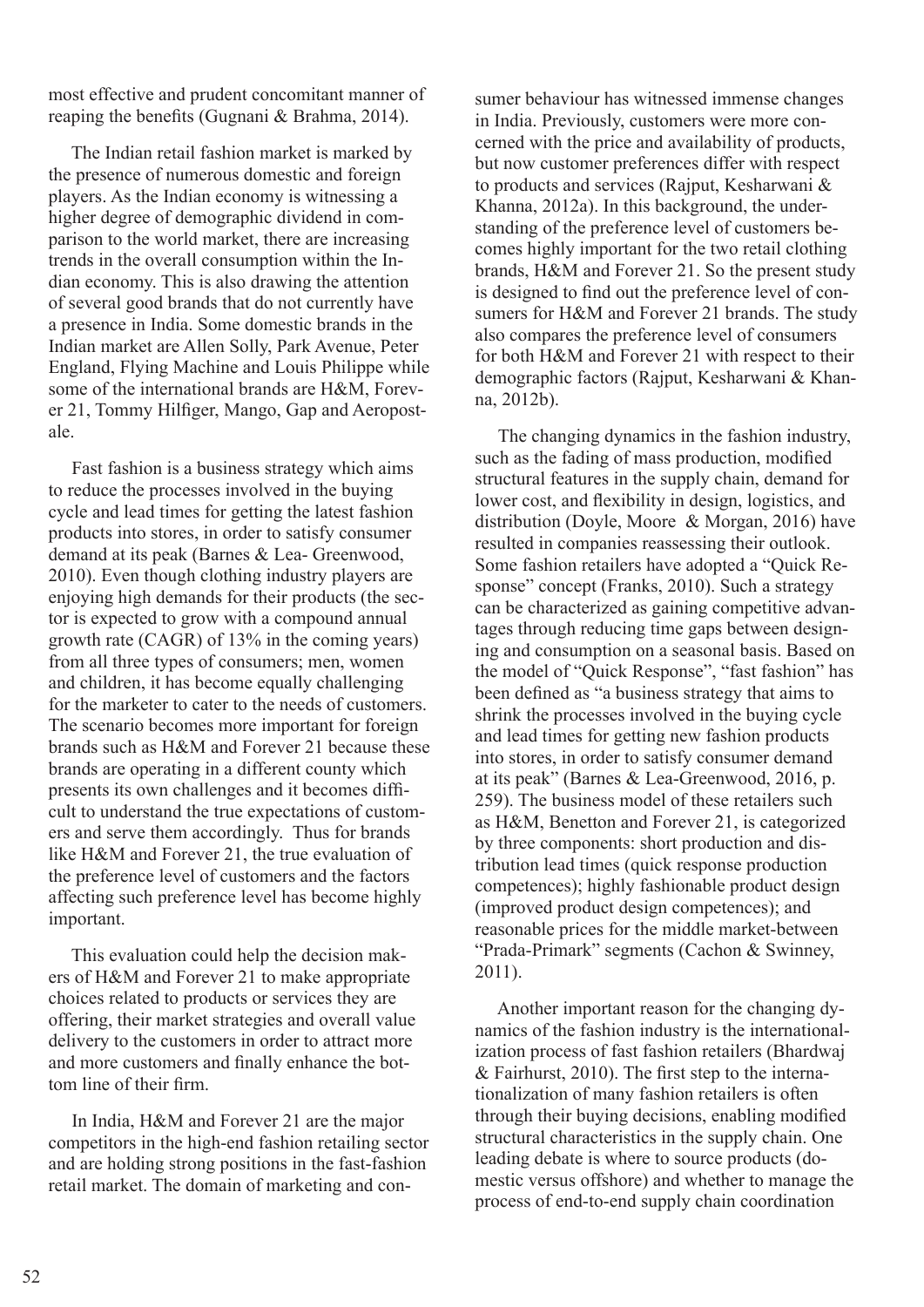most effective and prudent concomitant manner of reaping the benefits (Gugnani & Brahma, 2014).

 The Indian retail fashion market is marked by the presence of numerous domestic and foreign players. As the Indian economy is witnessing a higher degree of demographic dividend in comparison to the world market, there are increasing trends in the overall consumption within the Indian economy. This is also drawing the attention of several good brands that do not currently have a presence in India. Some domestic brands in the Indian market are Allen Solly, Park Avenue, Peter England, Flying Machine and Louis Philippe while some of the international brands are H&M, Forever 21, Tommy Hilfiger, Mango, Gap and Aeropostale.

 Fast fashion is a business strategy which aims to reduce the processes involved in the buying cycle and lead times for getting the latest fashion products into stores, in order to satisfy consumer demand at its peak (Barnes & Lea- Greenwood, 2010). Even though clothing industry players are enjoying high demands for their products (the sector is expected to grow with a compound annual growth rate (CAGR) of 13% in the coming years) from all three types of consumers; men, women and children, it has become equally challenging for the marketer to cater to the needs of customers. The scenario becomes more important for foreign brands such as H&M and Forever 21 because these brands are operating in a different county which presents its own challenges and it becomes difficult to understand the true expectations of customers and serve them accordingly. Thus for brands like H&M and Forever 21, the true evaluation of the preference level of customers and the factors affecting such preference level has become highly important.

 This evaluation could help the decision makers of H&M and Forever 21 to make appropriate choices related to products or services they are offering, their market strategies and overall value delivery to the customers in order to attract more and more customers and finally enhance the bottom line of their firm.

 In India, H&M and Forever 21 are the major competitors in the high-end fashion retailing sector and are holding strong positions in the fast-fashion retail market. The domain of marketing and consumer behaviour has witnessed immense changes in India. Previously, customers were more concerned with the price and availability of products, but now customer preferences differ with respect to products and services (Rajput, Kesharwani & Khanna, 2012a). In this background, the understanding of the preference level of customers becomes highly important for the two retail clothing brands, H&M and Forever 21. So the present study is designed to find out the preference level of consumers for H&M and Forever 21 brands. The study also compares the preference level of consumers for both H&M and Forever 21 with respect to their demographic factors (Rajput, Kesharwani & Khanna, 2012b).

 The changing dynamics in the fashion industry, such as the fading of mass production, modified structural features in the supply chain, demand for lower cost, and flexibility in design, logistics, and distribution (Doyle, Moore & Morgan, 2016) have resulted in companies reassessing their outlook. Some fashion retailers have adopted a "Quick Response" concept (Franks, 2010). Such a strategy can be characterized as gaining competitive advantages through reducing time gaps between designing and consumption on a seasonal basis. Based on the model of "Quick Response", "fast fashion" has been defined as "a business strategy that aims to shrink the processes involved in the buying cycle and lead times for getting new fashion products into stores, in order to satisfy consumer demand at its peak" (Barnes & Lea-Greenwood, 2016, p. 259). The business model of these retailers such as H&M, Benetton and Forever 21, is categorized by three components: short production and distribution lead times (quick response production competences); highly fashionable product design (improved product design competences); and reasonable prices for the middle market-between "Prada-Primark" segments (Cachon & Swinney, 2011).

 Another important reason for the changing dynamics of the fashion industry is the internationalization process of fast fashion retailers (Bhardwaj & Fairhurst, 2010). The first step to the internationalization of many fashion retailers is often through their buying decisions, enabling modified structural characteristics in the supply chain. One leading debate is where to source products (domestic versus offshore) and whether to manage the process of end-to-end supply chain coordination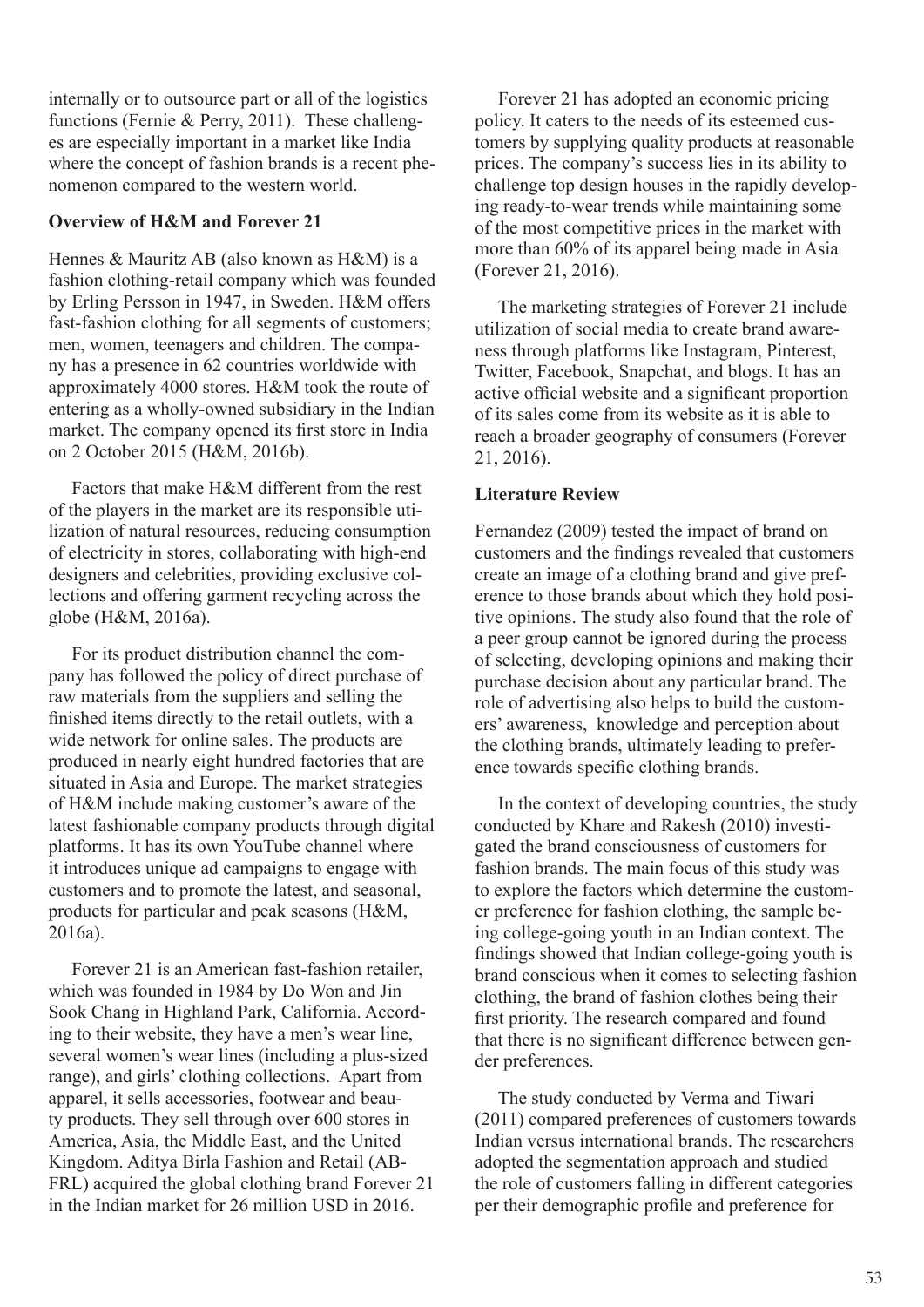internally or to outsource part or all of the logistics functions (Fernie & Perry, 2011). These challenges are especially important in a market like India where the concept of fashion brands is a recent phenomenon compared to the western world.

#### **Overview of H&M and Forever 21**

Hennes & Mauritz AB (also known as H&M) is a fashion clothing-retail company which was founded by Erling Persson in 1947, in Sweden. H&M offers fast-fashion clothing for all segments of customers; men, women, teenagers and children. The company has a presence in 62 countries worldwide with approximately 4000 stores. H&M took the route of entering as a wholly-owned subsidiary in the Indian market. The company opened its first store in India on 2 October 2015 (H&M, 2016b).

 Factors that make H&M different from the rest of the players in the market are its responsible utilization of natural resources, reducing consumption of electricity in stores, collaborating with high-end designers and celebrities, providing exclusive collections and offering garment recycling across the globe (H&M, 2016a).

 For its product distribution channel the company has followed the policy of direct purchase of raw materials from the suppliers and selling the finished items directly to the retail outlets, with a wide network for online sales. The products are produced in nearly eight hundred factories that are situated in Asia and Europe. The market strategies of H&M include making customer's aware of the latest fashionable company products through digital platforms. It has its own YouTube channel where it introduces unique ad campaigns to engage with customers and to promote the latest, and seasonal, products for particular and peak seasons (H&M, 2016a).

 Forever 21 is an American fast-fashion retailer, which was founded in 1984 by Do Won and Jin Sook Chang in Highland Park, California. According to their website, they have a men's wear line, several women's wear lines (including a plus-sized range), and girls' clothing collections. Apart from apparel, it sells accessories, footwear and beauty products. They sell through over 600 stores in America, Asia, the Middle East, and the United Kingdom. Aditya Birla Fashion and Retail (AB-FRL) acquired the global clothing brand Forever 21 in the Indian market for 26 million USD in 2016.

 Forever 21 has adopted an economic pricing policy. It caters to the needs of its esteemed customers by supplying quality products at reasonable prices. The company's success lies in its ability to challenge top design houses in the rapidly developing ready-to-wear trends while maintaining some of the most competitive prices in the market with more than 60% of its apparel being made in Asia (Forever 21, 2016).

 The marketing strategies of Forever 21 include utilization of social media to create brand awareness through platforms like Instagram, Pinterest, Twitter, Facebook, Snapchat, and blogs. It has an active official website and a significant proportion of its sales come from its website as it is able to reach a broader geography of consumers (Forever 21, 2016).

#### **Literature Review**

Fernandez (2009) tested the impact of brand on customers and the findings revealed that customers create an image of a clothing brand and give preference to those brands about which they hold positive opinions. The study also found that the role of a peer group cannot be ignored during the process of selecting, developing opinions and making their purchase decision about any particular brand. The role of advertising also helps to build the customers' awareness, knowledge and perception about the clothing brands, ultimately leading to preference towards specific clothing brands.

 In the context of developing countries, the study conducted by Khare and Rakesh (2010) investigated the brand consciousness of customers for fashion brands. The main focus of this study was to explore the factors which determine the customer preference for fashion clothing, the sample being college-going youth in an Indian context. The findings showed that Indian college-going youth is brand conscious when it comes to selecting fashion clothing, the brand of fashion clothes being their first priority. The research compared and found that there is no significant difference between gender preferences.

 The study conducted by Verma and Tiwari (2011) compared preferences of customers towards Indian versus international brands. The researchers adopted the segmentation approach and studied the role of customers falling in different categories per their demographic profile and preference for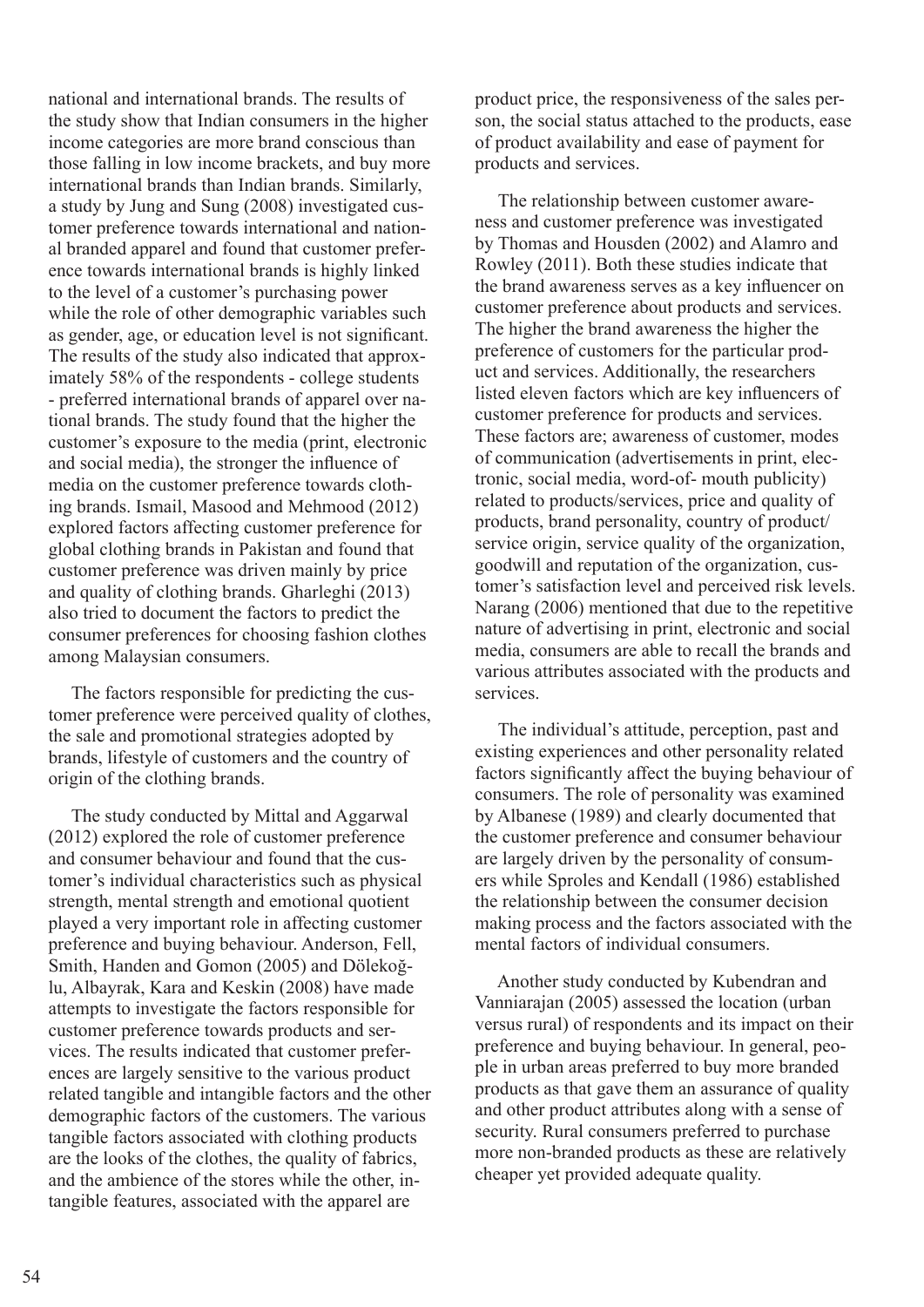national and international brands. The results of the study show that Indian consumers in the higher income categories are more brand conscious than those falling in low income brackets, and buy more international brands than Indian brands. Similarly, a study by Jung and Sung (2008) investigated customer preference towards international and national branded apparel and found that customer preference towards international brands is highly linked to the level of a customer's purchasing power while the role of other demographic variables such as gender, age, or education level is not significant. The results of the study also indicated that approximately 58% of the respondents - college students - preferred international brands of apparel over national brands. The study found that the higher the customer's exposure to the media (print, electronic and social media), the stronger the influence of media on the customer preference towards clothing brands. Ismail, Masood and Mehmood (2012) explored factors affecting customer preference for global clothing brands in Pakistan and found that customer preference was driven mainly by price and quality of clothing brands. Gharleghi (2013) also tried to document the factors to predict the consumer preferences for choosing fashion clothes among Malaysian consumers.

 The factors responsible for predicting the customer preference were perceived quality of clothes, the sale and promotional strategies adopted by brands, lifestyle of customers and the country of origin of the clothing brands.

 The study conducted by Mittal and Aggarwal (2012) explored the role of customer preference and consumer behaviour and found that the customer's individual characteristics such as physical strength, mental strength and emotional quotient played a very important role in affecting customer preference and buying behaviour. Anderson, Fell, Smith, Handen and Gomon (2005) and Dölekoğlu, Albayrak, Kara and Keskin (2008) have made attempts to investigate the factors responsible for customer preference towards products and services. The results indicated that customer preferences are largely sensitive to the various product related tangible and intangible factors and the other demographic factors of the customers. The various tangible factors associated with clothing products are the looks of the clothes, the quality of fabrics, and the ambience of the stores while the other, intangible features, associated with the apparel are

product price, the responsiveness of the sales person, the social status attached to the products, ease of product availability and ease of payment for products and services.

 The relationship between customer awareness and customer preference was investigated by Thomas and Housden (2002) and Alamro and Rowley (2011). Both these studies indicate that the brand awareness serves as a key influencer on customer preference about products and services. The higher the brand awareness the higher the preference of customers for the particular product and services. Additionally, the researchers listed eleven factors which are key influencers of customer preference for products and services. These factors are; awareness of customer, modes of communication (advertisements in print, electronic, social media, word-of- mouth publicity) related to products/services, price and quality of products, brand personality, country of product/ service origin, service quality of the organization, goodwill and reputation of the organization, customer's satisfaction level and perceived risk levels. Narang (2006) mentioned that due to the repetitive nature of advertising in print, electronic and social media, consumers are able to recall the brands and various attributes associated with the products and services.

 The individual's attitude, perception, past and existing experiences and other personality related factors significantly affect the buying behaviour of consumers. The role of personality was examined by Albanese (1989) and clearly documented that the customer preference and consumer behaviour are largely driven by the personality of consumers while Sproles and Kendall (1986) established the relationship between the consumer decision making process and the factors associated with the mental factors of individual consumers.

 Another study conducted by Kubendran and Vanniarajan (2005) assessed the location (urban versus rural) of respondents and its impact on their preference and buying behaviour. In general, people in urban areas preferred to buy more branded products as that gave them an assurance of quality and other product attributes along with a sense of security. Rural consumers preferred to purchase more non-branded products as these are relatively cheaper yet provided adequate quality.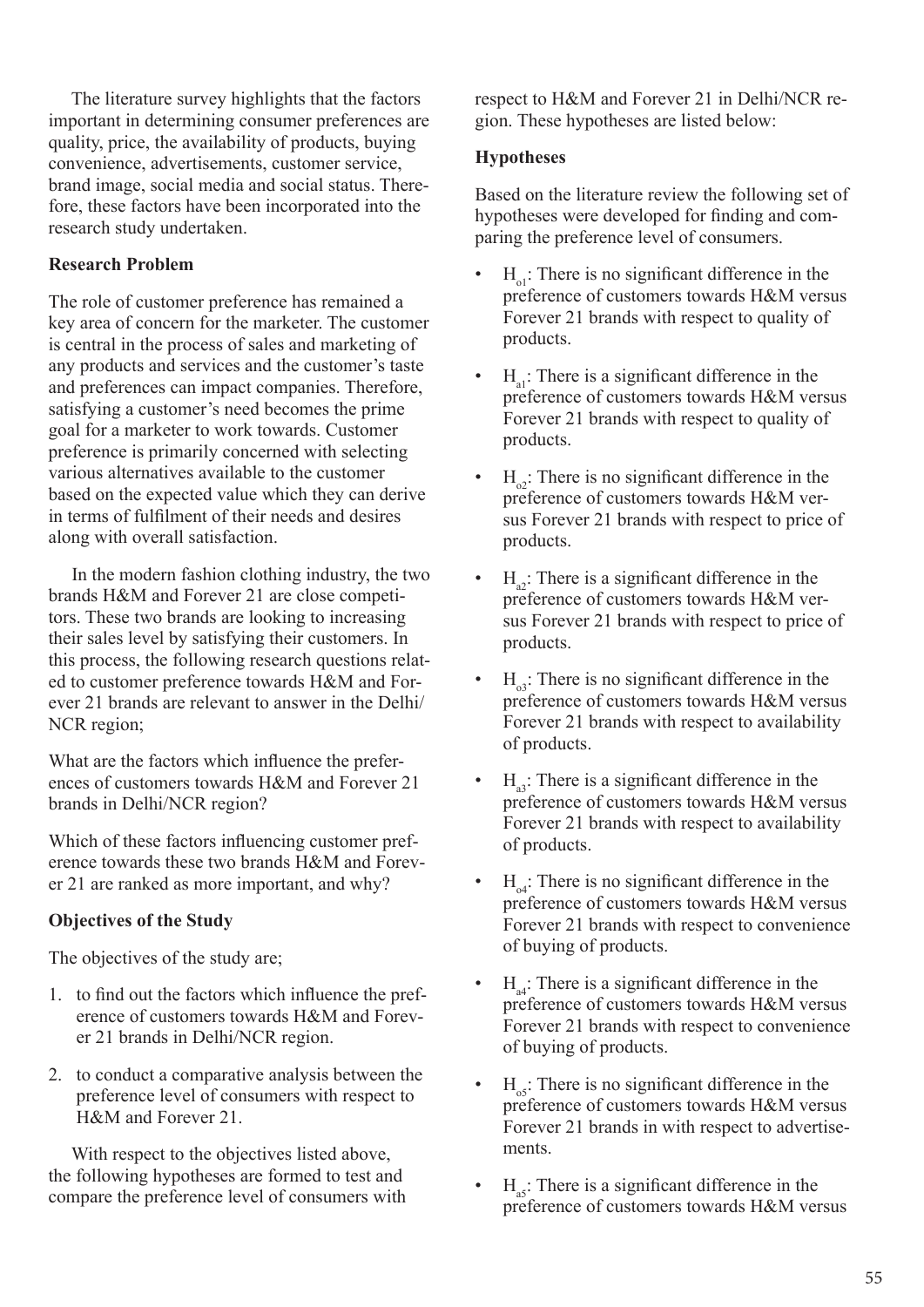The literature survey highlights that the factors important in determining consumer preferences are quality, price, the availability of products, buying convenience, advertisements, customer service, brand image, social media and social status. Therefore, these factors have been incorporated into the research study undertaken.

## **Research Problem**

The role of customer preference has remained a key area of concern for the marketer. The customer is central in the process of sales and marketing of any products and services and the customer's taste and preferences can impact companies. Therefore, satisfying a customer's need becomes the prime goal for a marketer to work towards. Customer preference is primarily concerned with selecting various alternatives available to the customer based on the expected value which they can derive in terms of fulfilment of their needs and desires along with overall satisfaction.

 In the modern fashion clothing industry, the two brands H&M and Forever 21 are close competitors. These two brands are looking to increasing their sales level by satisfying their customers. In this process, the following research questions related to customer preference towards H&M and Forever 21 brands are relevant to answer in the Delhi/ NCR region;

What are the factors which influence the preferences of customers towards H&M and Forever 21 brands in Delhi/NCR region?

Which of these factors influencing customer preference towards these two brands H&M and Forever 21 are ranked as more important, and why?

## **Objectives of the Study**

The objectives of the study are;

- 1. to find out the factors which influence the preference of customers towards H&M and Forever 21 brands in Delhi/NCR region.
- 2. to conduct a comparative analysis between the preference level of consumers with respect to H&M and Forever 21.

 With respect to the objectives listed above, the following hypotheses are formed to test and compare the preference level of consumers with respect to H&M and Forever 21 in Delhi/NCR region. These hypotheses are listed below:

## **Hypotheses**

Based on the literature review the following set of hypotheses were developed for finding and comparing the preference level of consumers.

- $H_{ol}$ : There is no significant difference in the preference of customers towards H&M versus Forever 21 brands with respect to quality of products.
- $H_{el}$ : There is a significant difference in the preference of customers towards H&M versus Forever 21 brands with respect to quality of products.
- $H_{\alpha}$ : There is no significant difference in the preference of customers towards H&M versus Forever 21 brands with respect to price of products.
- $H_{\alpha}$ : There is a significant difference in the preference of customers towards H&M versus Forever 21 brands with respect to price of products.
- $H_{03}$ : There is no significant difference in the preference of customers towards H&M versus Forever 21 brands with respect to availability of products.
- $H<sub>33</sub>$ : There is a significant difference in the preference of customers towards H&M versus Forever 21 brands with respect to availability of products.
- $H_{\alpha4}$ : There is no significant difference in the preference of customers towards H&M versus Forever 21 brands with respect to convenience of buying of products.
- $H<sub>ad</sub>$ : There is a significant difference in the preference of customers towards H&M versus Forever 21 brands with respect to convenience of buying of products.
- $H_{\text{0}}$ : There is no significant difference in the preference of customers towards H&M versus Forever 21 brands in with respect to advertisements.
- $H<sub>as</sub>$ : There is a significant difference in the preference of customers towards H&M versus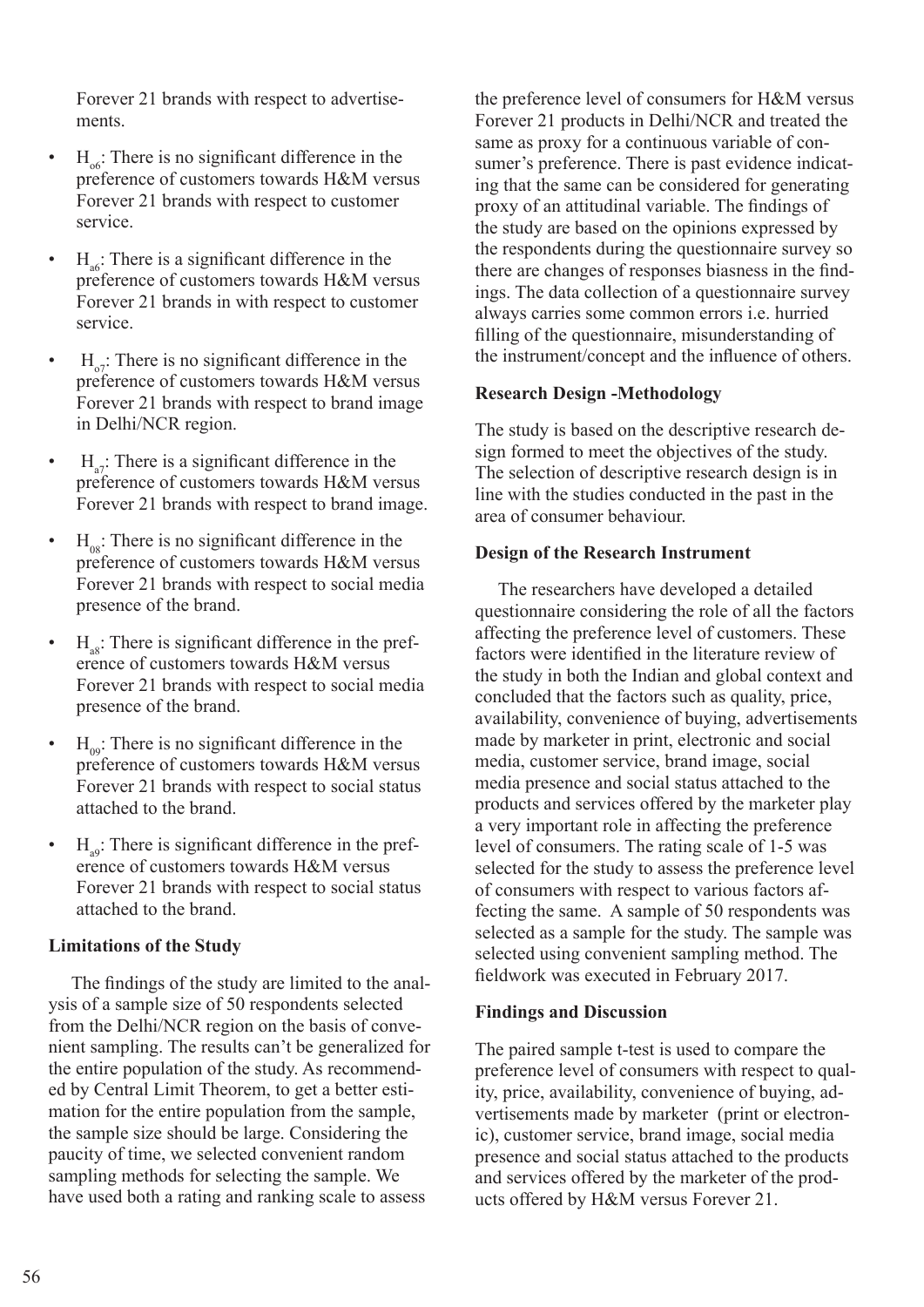Forever 21 brands with respect to advertisements.

- $H_{\text{tot}}$ : There is no significant difference in the preference of customers towards H&M versus Forever 21 brands with respect to customer service.
- $H_{\text{ab}}$ : There is a significant difference in the preference of customers towards H&M versus Forever 21 brands in with respect to customer service.
- $H_{\text{o}7}$ : There is no significant difference in the preference of customers towards H&M versus Forever 21 brands with respect to brand image in Delhi/NCR region.
- $H_{\text{a}}$ : There is a significant difference in the preference of customers towards H&M versus Forever 21 brands with respect to brand image.
- $H_{\text{0.8}}$ : There is no significant difference in the preference of customers towards H&M versus Forever 21 brands with respect to social media presence of the brand.
- $H_{\infty}$ : There is significant difference in the preference of customers towards H&M versus Forever 21 brands with respect to social media presence of the brand.
- $H_{09}$ : There is no significant difference in the preference of customers towards H&M versus Forever 21 brands with respect to social status attached to the brand.
- $H_{\text{eq}}$ : There is significant difference in the preference of customers towards H&M versus Forever 21 brands with respect to social status attached to the brand.

#### **Limitations of the Study**

 The findings of the study are limited to the analysis of a sample size of 50 respondents selected from the Delhi/NCR region on the basis of convenient sampling. The results can't be generalized for the entire population of the study. As recommended by Central Limit Theorem, to get a better estimation for the entire population from the sample, the sample size should be large. Considering the paucity of time, we selected convenient random sampling methods for selecting the sample. We have used both a rating and ranking scale to assess

the preference level of consumers for H&M versus Forever 21 products in Delhi/NCR and treated the same as proxy for a continuous variable of consumer's preference. There is past evidence indicating that the same can be considered for generating proxy of an attitudinal variable. The findings of the study are based on the opinions expressed by the respondents during the questionnaire survey so there are changes of responses biasness in the findings. The data collection of a questionnaire survey always carries some common errors i.e. hurried filling of the questionnaire, misunderstanding of the instrument/concept and the influence of others.

## **Research Design -Methodology**

The study is based on the descriptive research design formed to meet the objectives of the study. The selection of descriptive research design is in line with the studies conducted in the past in the area of consumer behaviour.

#### **Design of the Research Instrument**

 The researchers have developed a detailed questionnaire considering the role of all the factors affecting the preference level of customers. These factors were identified in the literature review of the study in both the Indian and global context and concluded that the factors such as quality, price, availability, convenience of buying, advertisements made by marketer in print, electronic and social media, customer service, brand image, social media presence and social status attached to the products and services offered by the marketer play a very important role in affecting the preference level of consumers. The rating scale of 1-5 was selected for the study to assess the preference level of consumers with respect to various factors affecting the same. A sample of 50 respondents was selected as a sample for the study. The sample was selected using convenient sampling method. The fieldwork was executed in February 2017.

## **Findings and Discussion**

The paired sample t-test is used to compare the preference level of consumers with respect to quality, price, availability, convenience of buying, advertisements made by marketer (print or electronic), customer service, brand image, social media presence and social status attached to the products and services offered by the marketer of the products offered by H&M versus Forever 21.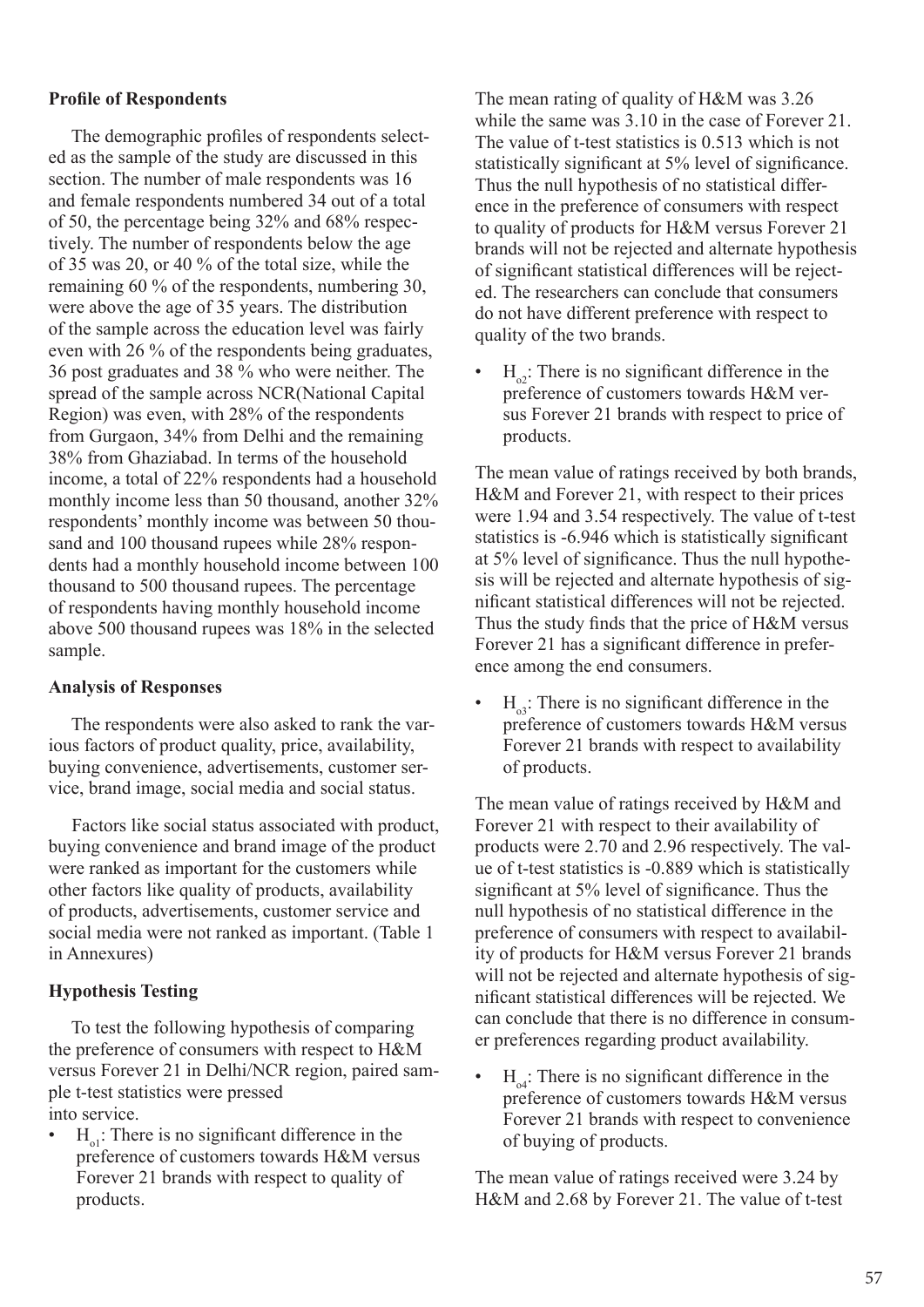## **Profile of Respondents**

 The demographic profiles of respondents selected as the sample of the study are discussed in this section. The number of male respondents was 16 and female respondents numbered 34 out of a total of 50, the percentage being 32% and 68% respectively. The number of respondents below the age of 35 was 20, or 40 % of the total size, while the remaining 60 % of the respondents, numbering 30, were above the age of 35 years. The distribution of the sample across the education level was fairly even with 26 % of the respondents being graduates, 36 post graduates and 38 % who were neither. The spread of the sample across NCR(National Capital Region) was even, with 28% of the respondents from Gurgaon, 34% from Delhi and the remaining 38% from Ghaziabad. In terms of the household income, a total of 22% respondents had a household monthly income less than 50 thousand, another 32% respondents' monthly income was between 50 thousand and 100 thousand rupees while 28% respondents had a monthly household income between 100 thousand to 500 thousand rupees. The percentage of respondents having monthly household income above 500 thousand rupees was 18% in the selected sample.

#### **Analysis of Responses**

 The respondents were also asked to rank the various factors of product quality, price, availability, buying convenience, advertisements, customer service, brand image, social media and social status.

 Factors like social status associated with product, buying convenience and brand image of the product were ranked as important for the customers while other factors like quality of products, availability of products, advertisements, customer service and social media were not ranked as important. (Table 1 in Annexures)

## **Hypothesis Testing**

 To test the following hypothesis of comparing the preference of consumers with respect to H&M versus Forever 21 in Delhi/NCR region, paired sample t-test statistics were pressed into service.

 $H_{ol}$ : There is no significant difference in the preference of customers towards H&M versus Forever 21 brands with respect to quality of products.

The mean rating of quality of H&M was 3.26 while the same was 3.10 in the case of Forever 21. The value of t-test statistics is 0.513 which is not statistically significant at 5% level of significance. Thus the null hypothesis of no statistical difference in the preference of consumers with respect to quality of products for H&M versus Forever 21 brands will not be rejected and alternate hypothesis of significant statistical differences will be rejected. The researchers can conclude that consumers do not have different preference with respect to quality of the two brands.

•  $H_{\text{o}}$ : There is no significant difference in the preference of customers towards H&M versus Forever 21 brands with respect to price of products.

The mean value of ratings received by both brands, H&M and Forever 21, with respect to their prices were 1.94 and 3.54 respectively. The value of t-test statistics is -6.946 which is statistically significant at 5% level of significance. Thus the null hypothesis will be rejected and alternate hypothesis of significant statistical differences will not be rejected. Thus the study finds that the price of H&M versus Forever 21 has a significant difference in preference among the end consumers.

 $H_{03}$ : There is no significant difference in the preference of customers towards H&M versus Forever 21 brands with respect to availability of products.

The mean value of ratings received by H&M and Forever 21 with respect to their availability of products were 2.70 and 2.96 respectively. The value of t-test statistics is -0.889 which is statistically significant at 5% level of significance. Thus the null hypothesis of no statistical difference in the preference of consumers with respect to availability of products for H&M versus Forever 21 brands will not be rejected and alternate hypothesis of significant statistical differences will be rejected. We can conclude that there is no difference in consumer preferences regarding product availability.

 $H_{o4}$ : There is no significant difference in the preference of customers towards H&M versus Forever 21 brands with respect to convenience of buying of products.

The mean value of ratings received were 3.24 by H&M and 2.68 by Forever 21. The value of t-test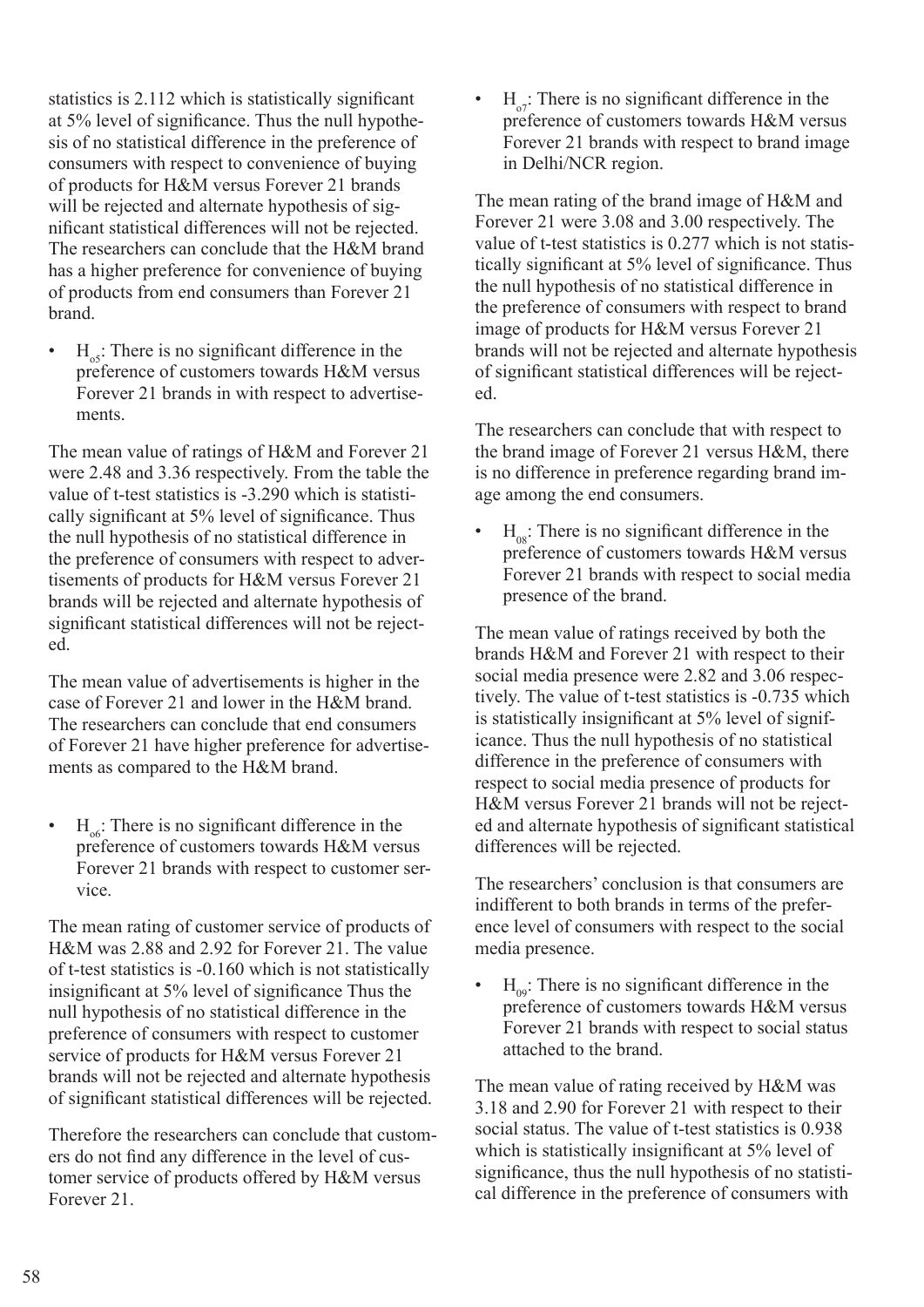statistics is 2.112 which is statistically significant at 5% level of significance. Thus the null hypothesis of no statistical difference in the preference of consumers with respect to convenience of buying of products for H&M versus Forever 21 brands will be rejected and alternate hypothesis of significant statistical differences will not be rejected. The researchers can conclude that the H&M brand has a higher preference for convenience of buying of products from end consumers than Forever 21 brand.

 $H_{\text{05}}$ : There is no significant difference in the preference of customers towards H&M versus Forever 21 brands in with respect to advertisements.

The mean value of ratings of H&M and Forever 21 were 2.48 and 3.36 respectively. From the table the value of t-test statistics is -3.290 which is statistically significant at 5% level of significance. Thus the null hypothesis of no statistical difference in the preference of consumers with respect to advertisements of products for H&M versus Forever 21 brands will be rejected and alternate hypothesis of significant statistical differences will not be rejected.

The mean value of advertisements is higher in the case of Forever 21 and lower in the H&M brand. The researchers can conclude that end consumers of Forever 21 have higher preference for advertisements as compared to the H&M brand.

 $H_{\text{tot}}$ : There is no significant difference in the preference of customers towards H&M versus Forever 21 brands with respect to customer service.

The mean rating of customer service of products of H&M was 2.88 and 2.92 for Forever 21. The value of t-test statistics is -0.160 which is not statistically insignificant at 5% level of significance Thus the null hypothesis of no statistical difference in the preference of consumers with respect to customer service of products for H&M versus Forever 21 brands will not be rejected and alternate hypothesis of significant statistical differences will be rejected.

Therefore the researchers can conclude that customers do not find any difference in the level of customer service of products offered by H&M versus Forever 21.

 $H_{\alpha}$ . There is no significant difference in the preference of customers towards H&M versus Forever 21 brands with respect to brand image in Delhi/NCR region.

The mean rating of the brand image of H&M and Forever 21 were 3.08 and 3.00 respectively. The value of t-test statistics is 0.277 which is not statistically significant at 5% level of significance. Thus the null hypothesis of no statistical difference in the preference of consumers with respect to brand image of products for H&M versus Forever 21 brands will not be rejected and alternate hypothesis of significant statistical differences will be rejected.

The researchers can conclude that with respect to the brand image of Forever 21 versus H&M, there is no difference in preference regarding brand image among the end consumers.

 $H_{08}$ : There is no significant difference in the preference of customers towards H&M versus Forever 21 brands with respect to social media presence of the brand.

The mean value of ratings received by both the brands H&M and Forever 21 with respect to their social media presence were 2.82 and 3.06 respectively. The value of t-test statistics is -0.735 which is statistically insignificant at 5% level of significance. Thus the null hypothesis of no statistical difference in the preference of consumers with respect to social media presence of products for H&M versus Forever 21 brands will not be rejected and alternate hypothesis of significant statistical differences will be rejected.

The researchers' conclusion is that consumers are indifferent to both brands in terms of the preference level of consumers with respect to the social media presence.

 $H_{00}$ : There is no significant difference in the preference of customers towards H&M versus Forever 21 brands with respect to social status attached to the brand.

The mean value of rating received by H&M was 3.18 and 2.90 for Forever 21 with respect to their social status. The value of t-test statistics is 0.938 which is statistically insignificant at 5% level of significance, thus the null hypothesis of no statistical difference in the preference of consumers with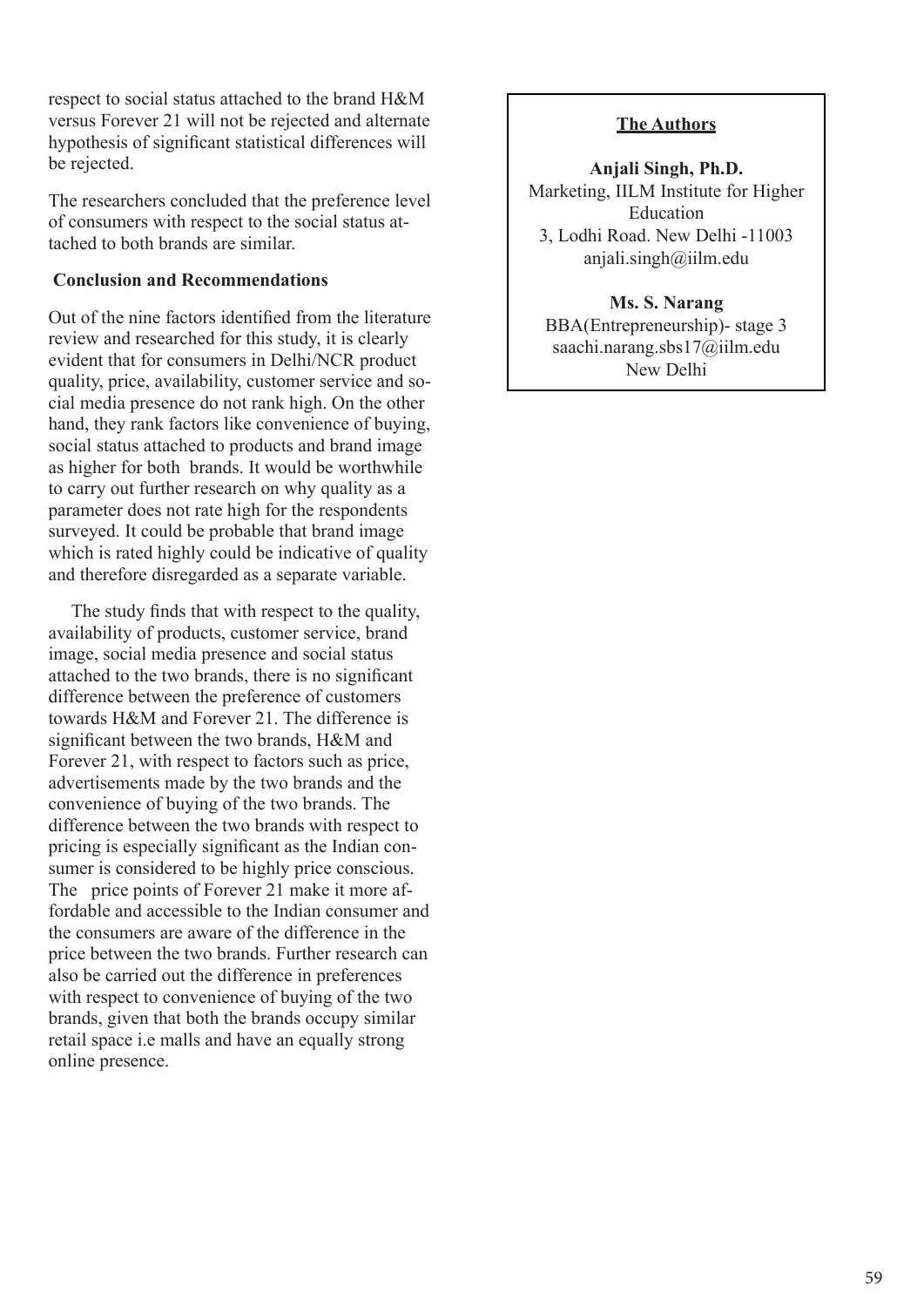respect to social status attached to the brand H&M versus Forever 21 will not be rejected and alternate hypothesis of significant statistical differences will be rejected.

The researchers concluded that the preference level of consumers with respect to the social status attached to both brands are similar.

## **Conclusion and Recommendations**

Out of the nine factors identified from the literature review and researched for this study, it is clearly evident that for consumers in Delhi/NCR product quality, price, availability, customer service and social media presence do not rank high. On the other hand, they rank factors like convenience of buying, social status attached to products and brand image as higher for both brands. It would be worthwhile to carry out further research on why quality as a parameter does not rate high for the respondents surveyed. It could be probable that brand image which is rated highly could be indicative of quality and therefore disregarded as a separate variable.

 The study finds that with respect to the quality, availability of products, customer service, brand image, social media presence and social status attached to the two brands, there is no significant difference between the preference of customers towards H&M and Forever 21. The difference is significant between the two brands, H&M and Forever 21, with respect to factors such as price, advertisements made by the two brands and the convenience of buying of the two brands. The difference between the two brands with respect to pricing is especially significant as the Indian consumer is considered to be highly price conscious. The price points of Forever 21 make it more affordable and accessible to the Indian consumer and the consumers are aware of the difference in the price between the two brands. Further research can also be carried out the difference in preferences with respect to convenience of buying of the two brands, given that both the brands occupy similar retail space i.e malls and have an equally strong online presence.

## **The Authors**

**Anjali Singh, Ph.D.** Marketing, IILM Institute for Higher Education 3, Lodhi Road. New Delhi -11003 anjali.singh@iilm.edu

## **Ms. S. Narang**

BBA(Entrepreneurship)- stage 3 saachi.narang.sbs17@iilm.edu New Delhi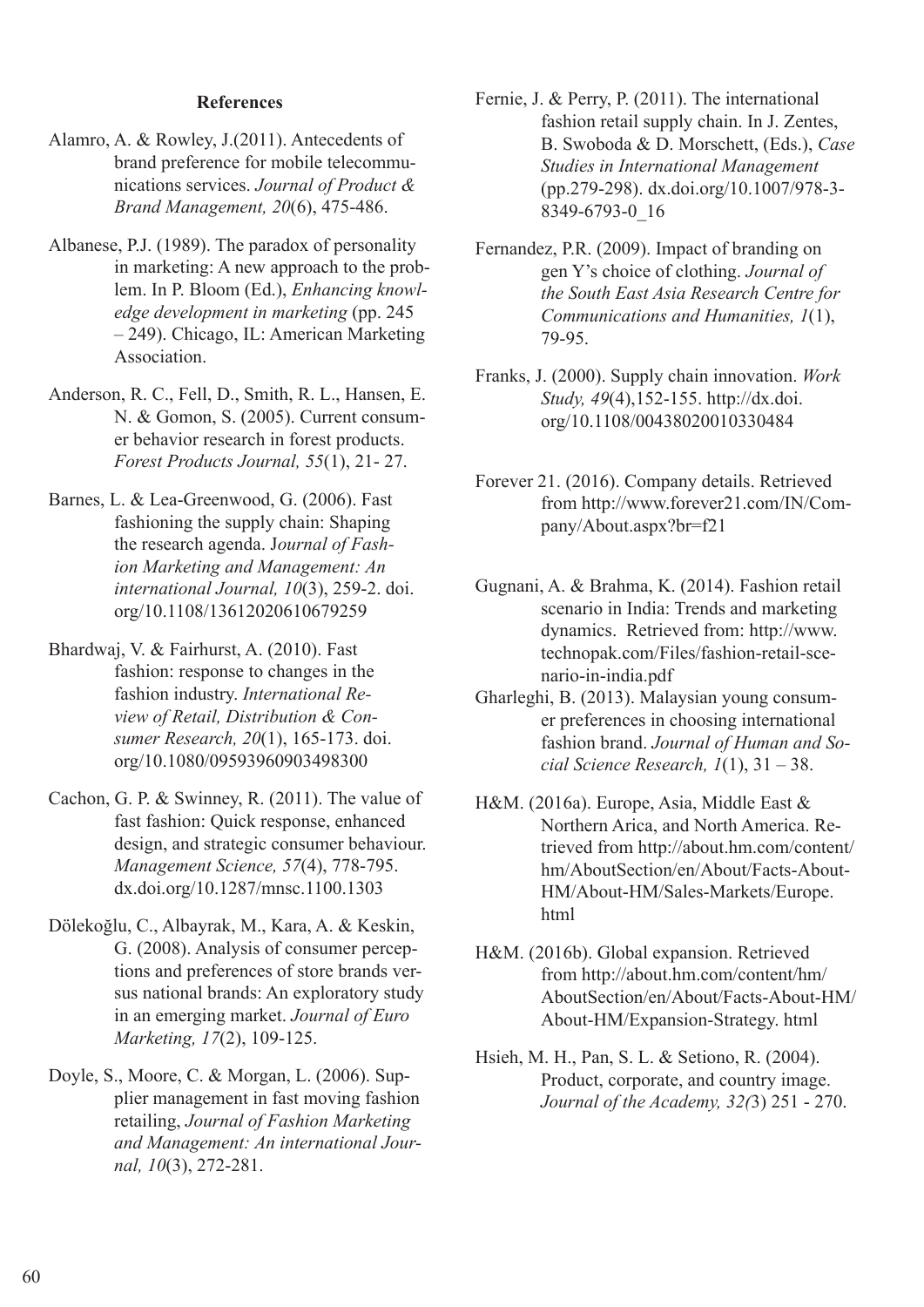## **References**

- Alamro, A. & Rowley, J.(2011). Antecedents of brand preference for mobile telecommunications services. *Journal of Product & Brand Management, 20*(6), 475-486.
- Albanese, P.J. (1989). The paradox of personality in marketing: A new approach to the problem. In P. Bloom (Ed.), *Enhancing knowledge development in marketing* (pp. 245 – 249). Chicago, IL: American Marketing Association.
- Anderson, R. C., Fell, D., Smith, R. L., Hansen, E. N. & Gomon, S. (2005). Current consumer behavior research in forest products. *Forest Products Journal, 55*(1), 21- 27.
- Barnes, L. & Lea-Greenwood, G. (2006). Fast fashioning the supply chain: Shaping the research agenda. J*ournal of Fashion Marketing and Management: An international Journal, 10*(3), 259-2. doi. org/10.1108/13612020610679259
- Bhardwaj, V. & Fairhurst, A. (2010). Fast fashion: response to changes in the fashion industry. *International Review of Retail, Distribution & Consumer Research, 20*(1), 165-173. doi. org/10.1080/09593960903498300
- Cachon, G. P. & Swinney, R. (2011). The value of fast fashion: Quick response, enhanced design, and strategic consumer behaviour. *Management Science, 57*(4), 778-795. dx.doi.org/10.1287/mnsc.1100.1303
- Dölekoğlu, C., Albayrak, M., Kara, A. & Keskin, G. (2008). Analysis of consumer perceptions and preferences of store brands versus national brands: An exploratory study in an emerging market. *Journal of Euro Marketing, 17*(2), 109-125.
- Doyle, S., Moore, C. & Morgan, L. (2006). Supplier management in fast moving fashion retailing, *Journal of Fashion Marketing and Management: An international Journal, 10*(3), 272-281.
- Fernie, J. & Perry, P. (2011). The international fashion retail supply chain. In J. Zentes, B. Swoboda & D. Morschett, (Eds.), *Case Studies in International Management*  (pp.279-298). dx.doi.org/10.1007/978-3- 8349-6793-0\_16
- Fernandez, P.R. (2009). Impact of branding on gen Y's choice of clothing. *Journal of the South East Asia Research Centre for Communications and Humanities, 1*(1), 79-95.
- Franks, J. (2000). Supply chain innovation. *Work Study, 49*(4),152-155. http://dx.doi. org/10.1108/00438020010330484
- Forever 21. (2016). Company details. Retrieved from http://www.forever21.com/IN/Company/About.aspx?br=f21
- Gugnani, A. & Brahma, K. (2014). Fashion retail scenario in India: Trends and marketing dynamics. Retrieved from: http://www. technopak.com/Files/fashion-retail-scenario-in-india.pdf
- Gharleghi, B. (2013). Malaysian young consumer preferences in choosing international fashion brand. *Journal of Human and Social Science Research, 1*(1), 31 – 38.
- H&M. (2016a). Europe, Asia, Middle East & Northern Arica, and North America. Retrieved from http://about.hm.com/content/ hm/AboutSection/en/About/Facts-About-HM/About-HM/Sales-Markets/Europe. html
- H&M. (2016b). Global expansion. Retrieved from http://about.hm.com/content/hm/ AboutSection/en/About/Facts-About-HM/ About-HM/Expansion-Strategy. html
- Hsieh, M. H., Pan, S. L. & Setiono, R. (2004). Product, corporate, and country image. *Journal of the Academy, 32(*3) 251 - 270.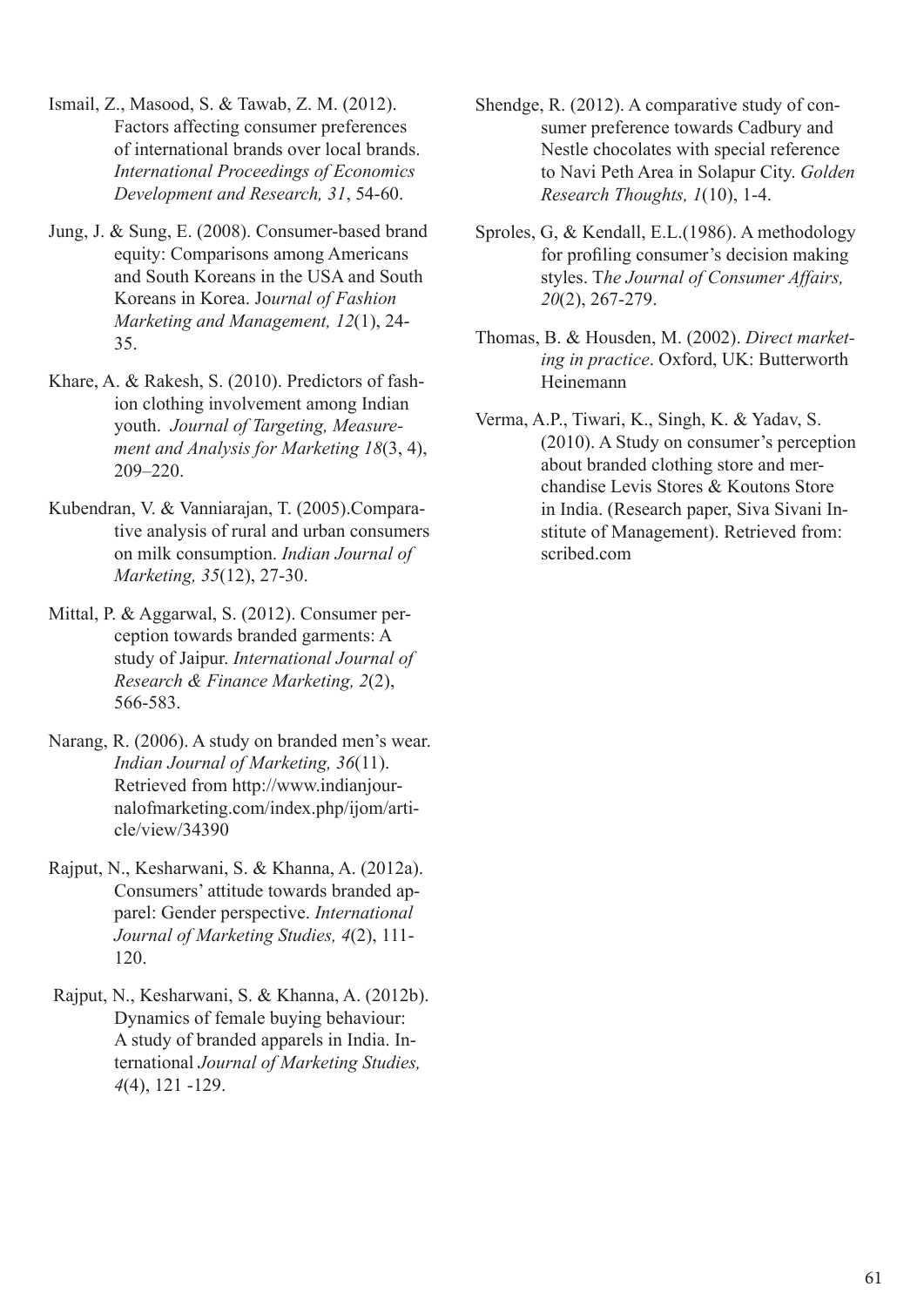- Ismail, Z., Masood, S. & Tawab, Z. M. (2012). Factors affecting consumer preferences of international brands over local brands. *International Proceedings of Economics Development and Research, 31*, 54-60.
- Jung, J. & Sung, E. (2008). Consumer-based brand equity: Comparisons among Americans and South Koreans in the USA and South Koreans in Korea. Jo*urnal of Fashion Marketing and Management, 12*(1), 24- 35.
- Khare, A. & Rakesh, S. (2010). Predictors of fashion clothing involvement among Indian youth. *Journal of Targeting, Measurement and Analysis for Marketing 18*(3, 4), 209–220.
- Kubendran, V. & Vanniarajan, T. (2005).Comparative analysis of rural and urban consumers on milk consumption. *Indian Journal of Marketing, 35*(12), 27-30.
- Mittal, P. & Aggarwal, S. (2012). Consumer perception towards branded garments: A study of Jaipur. *International Journal of Research & Finance Marketing, 2*(2), 566-583.
- Narang, R. (2006). A study on branded men's wear. *Indian Journal of Marketing, 36*(11). Retrieved from http://www.indianjournalofmarketing.com/index.php/ijom/article/view/34390
- Rajput, N., Kesharwani, S. & Khanna, A. (2012a). Consumers' attitude towards branded apparel: Gender perspective. *International Journal of Marketing Studies, 4*(2), 111- 120.
- Rajput, N., Kesharwani, S. & Khanna, A. (2012b). Dynamics of female buying behaviour: A study of branded apparels in India. International *Journal of Marketing Studies, 4*(4), 121 -129.
- Shendge, R. (2012). A comparative study of consumer preference towards Cadbury and Nestle chocolates with special reference to Navi Peth Area in Solapur City. *Golden Research Thoughts, 1*(10), 1-4.
- Sproles, G, & Kendall, E.L.(1986). A methodology for profiling consumer's decision making styles. T*he Journal of Consumer Affairs, 20*(2), 267-279.
- Thomas, B. & Housden, M. (2002). *Direct marketing in practice*. Oxford, UK: Butterworth Heinemann
- Verma, A.P., Tiwari, K., Singh, K. & Yadav, S. (2010). A Study on consumer's perception about branded clothing store and merchandise Levis Stores & Koutons Store in India. (Research paper, Siva Sivani Institute of Management). Retrieved from: scribed com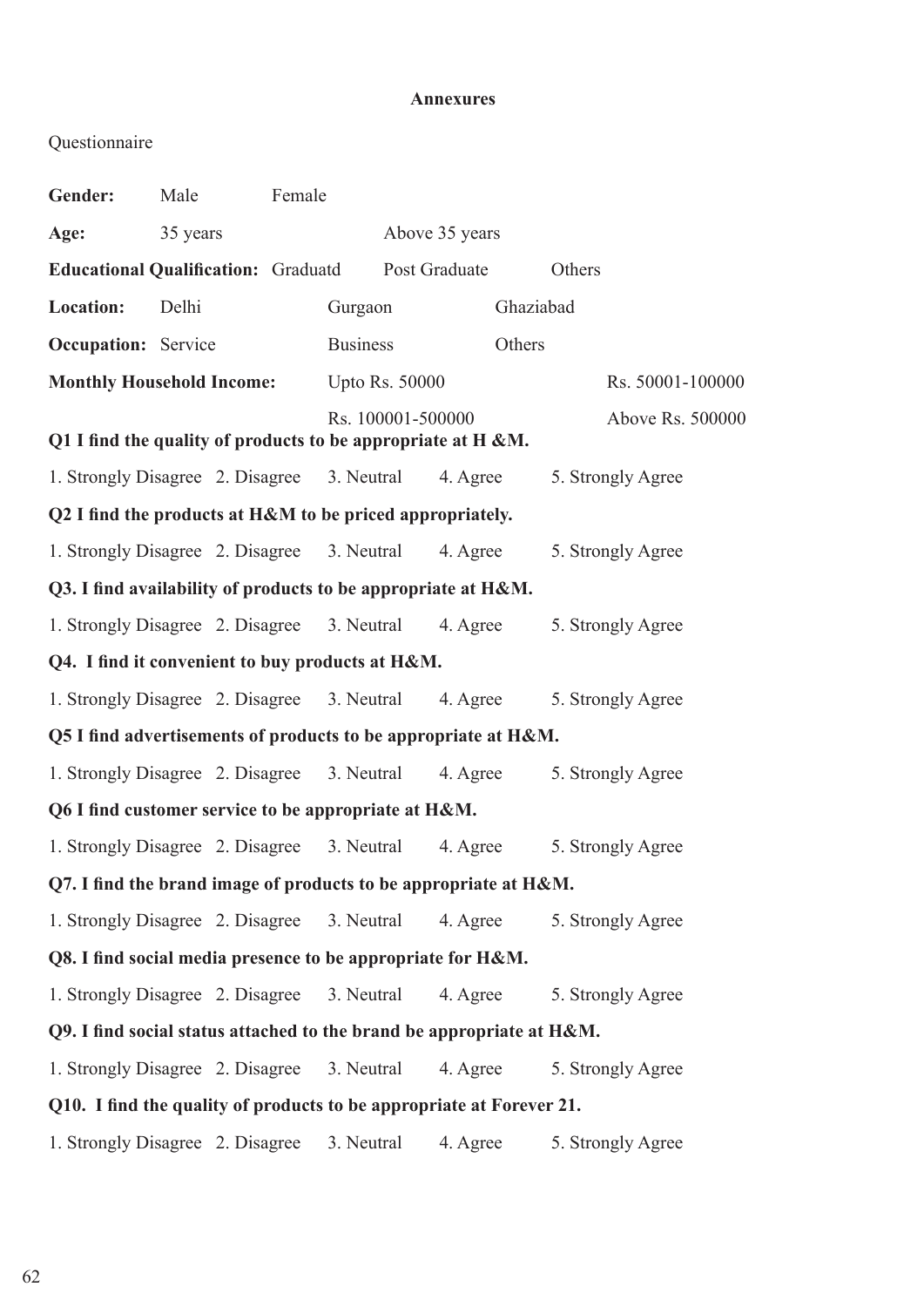## **Annexures**

## Questionnaire

| Gender:                                                              | Male                                                                  | Female |                       |                |                   |  |  |  |  |
|----------------------------------------------------------------------|-----------------------------------------------------------------------|--------|-----------------------|----------------|-------------------|--|--|--|--|
| Age:                                                                 | 35 years                                                              |        |                       | Above 35 years |                   |  |  |  |  |
| <b>Educational Qualification: Graduatd</b>                           |                                                                       |        | Post Graduate         |                | Others            |  |  |  |  |
| Location:                                                            | Delhi                                                                 |        | Gurgaon               |                | Ghaziabad         |  |  |  |  |
|                                                                      | <b>Occupation:</b> Service                                            |        | <b>Business</b>       |                | Others            |  |  |  |  |
|                                                                      | <b>Monthly Household Income:</b>                                      |        | <b>Upto Rs. 50000</b> |                | Rs. 50001-100000  |  |  |  |  |
|                                                                      | Q1 I find the quality of products to be appropriate at $H \& M$ .     |        | Rs. 100001-500000     |                | Above Rs. 500000  |  |  |  |  |
|                                                                      | 1. Strongly Disagree 2. Disagree 3. Neutral                           |        |                       | 4. Agree       | 5. Strongly Agree |  |  |  |  |
| Q2 I find the products at H&M to be priced appropriately.            |                                                                       |        |                       |                |                   |  |  |  |  |
|                                                                      | 1. Strongly Disagree 2. Disagree 3. Neutral                           |        |                       | 4. Agree       | 5. Strongly Agree |  |  |  |  |
|                                                                      | Q3. I find availability of products to be appropriate at H&M.         |        |                       |                |                   |  |  |  |  |
|                                                                      | 1. Strongly Disagree 2. Disagree 3. Neutral                           |        |                       | 4. Agree       | 5. Strongly Agree |  |  |  |  |
| Q4. I find it convenient to buy products at H&M.                     |                                                                       |        |                       |                |                   |  |  |  |  |
|                                                                      | 1. Strongly Disagree 2. Disagree 3. Neutral                           |        |                       | 4. Agree       | 5. Strongly Agree |  |  |  |  |
| Q5 I find advertisements of products to be appropriate at H&M.       |                                                                       |        |                       |                |                   |  |  |  |  |
|                                                                      | 1. Strongly Disagree 2. Disagree 3. Neutral                           |        |                       | 4. Agree       | 5. Strongly Agree |  |  |  |  |
|                                                                      | Q6 I find customer service to be appropriate at H&M.                  |        |                       |                |                   |  |  |  |  |
|                                                                      | 1. Strongly Disagree 2. Disagree                                      |        | 3. Neutral            | 4. Agree       | 5. Strongly Agree |  |  |  |  |
| Q7. I find the brand image of products to be appropriate at H&M.     |                                                                       |        |                       |                |                   |  |  |  |  |
|                                                                      | 1. Strongly Disagree 2. Disagree                                      |        | 3. Neutral            | 4. Agree       | 5. Strongly Agree |  |  |  |  |
| Q8. I find social media presence to be appropriate for H&M.          |                                                                       |        |                       |                |                   |  |  |  |  |
|                                                                      | 1. Strongly Disagree 2. Disagree                                      |        | 3. Neutral            | 4. Agree       | 5. Strongly Agree |  |  |  |  |
|                                                                      | Q9. I find social status attached to the brand be appropriate at H&M. |        |                       |                |                   |  |  |  |  |
|                                                                      | 1. Strongly Disagree 2. Disagree                                      |        | 3. Neutral            | 4. Agree       | 5. Strongly Agree |  |  |  |  |
| Q10. I find the quality of products to be appropriate at Forever 21. |                                                                       |        |                       |                |                   |  |  |  |  |
|                                                                      | 1. Strongly Disagree 2. Disagree                                      |        | 3. Neutral            | 4. Agree       | 5. Strongly Agree |  |  |  |  |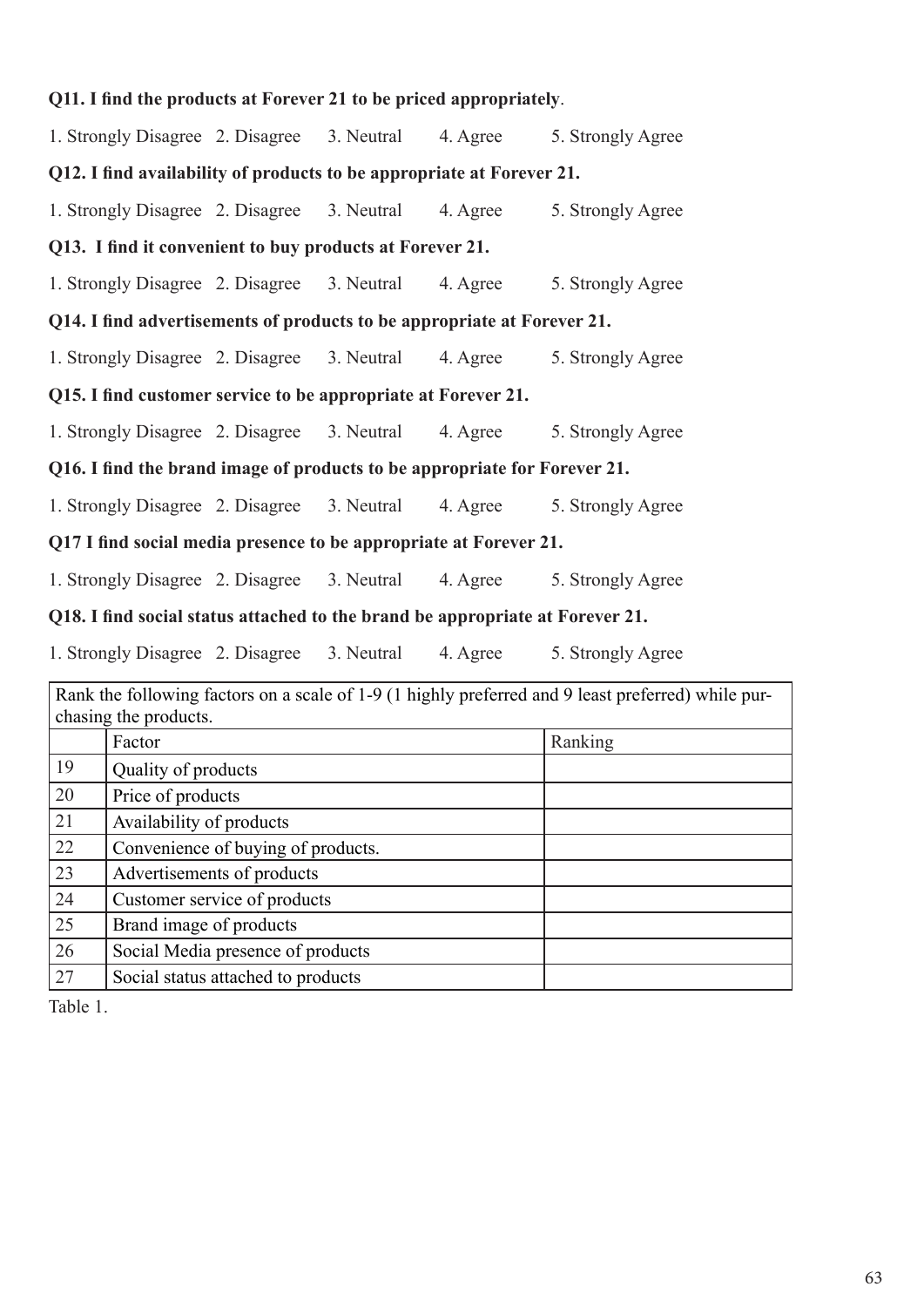|                                                                               |                                                                              |                                             |                                                          | Q11. I find the products at Forever 21 to be priced appropriately.        |                                                                                                    |  |  |  |
|-------------------------------------------------------------------------------|------------------------------------------------------------------------------|---------------------------------------------|----------------------------------------------------------|---------------------------------------------------------------------------|----------------------------------------------------------------------------------------------------|--|--|--|
| 1. Strongly Disagree 2. Disagree 3. Neutral<br>4. Agree<br>5. Strongly Agree  |                                                                              |                                             |                                                          |                                                                           |                                                                                                    |  |  |  |
| Q12. I find availability of products to be appropriate at Forever 21.         |                                                                              |                                             |                                                          |                                                                           |                                                                                                    |  |  |  |
| 1. Strongly Disagree 2. Disagree 3. Neutral<br>4. Agree<br>5. Strongly Agree  |                                                                              |                                             |                                                          |                                                                           |                                                                                                    |  |  |  |
|                                                                               |                                                                              |                                             | Q13. I find it convenient to buy products at Forever 21. |                                                                           |                                                                                                    |  |  |  |
| 1. Strongly Disagree 2. Disagree 3. Neutral<br>5. Strongly Agree<br>4. Agree  |                                                                              |                                             |                                                          |                                                                           |                                                                                                    |  |  |  |
| Q14. I find advertisements of products to be appropriate at Forever 21.       |                                                                              |                                             |                                                          |                                                                           |                                                                                                    |  |  |  |
|                                                                               |                                                                              | 1. Strongly Disagree 2. Disagree 3. Neutral |                                                          | 4. Agree                                                                  | 5. Strongly Agree                                                                                  |  |  |  |
| Q15. I find customer service to be appropriate at Forever 21.                 |                                                                              |                                             |                                                          |                                                                           |                                                                                                    |  |  |  |
| 1. Strongly Disagree 2. Disagree 3. Neutral<br>4. Agree                       |                                                                              |                                             |                                                          |                                                                           | 5. Strongly Agree                                                                                  |  |  |  |
|                                                                               |                                                                              |                                             |                                                          | Q16. I find the brand image of products to be appropriate for Forever 21. |                                                                                                    |  |  |  |
| 1. Strongly Disagree 2. Disagree 3. Neutral<br>4. Agree                       |                                                                              |                                             |                                                          |                                                                           | 5. Strongly Agree                                                                                  |  |  |  |
| Q17 I find social media presence to be appropriate at Forever 21.             |                                                                              |                                             |                                                          |                                                                           |                                                                                                    |  |  |  |
|                                                                               | 1. Strongly Disagree 2. Disagree 3. Neutral<br>4. Agree<br>5. Strongly Agree |                                             |                                                          |                                                                           |                                                                                                    |  |  |  |
| Q18. I find social status attached to the brand be appropriate at Forever 21. |                                                                              |                                             |                                                          |                                                                           |                                                                                                    |  |  |  |
| 1. Strongly Disagree 2. Disagree 3. Neutral<br>4. Agree<br>5. Strongly Agree  |                                                                              |                                             |                                                          |                                                                           |                                                                                                    |  |  |  |
|                                                                               |                                                                              |                                             |                                                          |                                                                           | Rank the following factors on a scale of 1-9 (1 highly preferred and 9 least preferred) while pur- |  |  |  |
|                                                                               | chasing the products.                                                        |                                             |                                                          |                                                                           |                                                                                                    |  |  |  |
|                                                                               | Factor                                                                       |                                             |                                                          |                                                                           | Ranking                                                                                            |  |  |  |
| 19                                                                            | Quality of products                                                          |                                             |                                                          |                                                                           |                                                                                                    |  |  |  |
| $20\,$                                                                        | Price of products                                                            |                                             |                                                          |                                                                           |                                                                                                    |  |  |  |
| 21                                                                            | Availability of products                                                     |                                             |                                                          |                                                                           |                                                                                                    |  |  |  |
| $22\,$                                                                        | Convenience of buying of products.                                           |                                             |                                                          |                                                                           |                                                                                                    |  |  |  |
| 23                                                                            | Advertisements of products                                                   |                                             |                                                          |                                                                           |                                                                                                    |  |  |  |
| 24                                                                            | Customer service of products                                                 |                                             |                                                          |                                                                           |                                                                                                    |  |  |  |
| 25                                                                            | Brand image of products                                                      |                                             |                                                          |                                                                           |                                                                                                    |  |  |  |
| 26                                                                            | Social Media presence of products                                            |                                             |                                                          |                                                                           |                                                                                                    |  |  |  |
| $27\,$                                                                        | Social status attached to products                                           |                                             |                                                          |                                                                           |                                                                                                    |  |  |  |

Table 1.